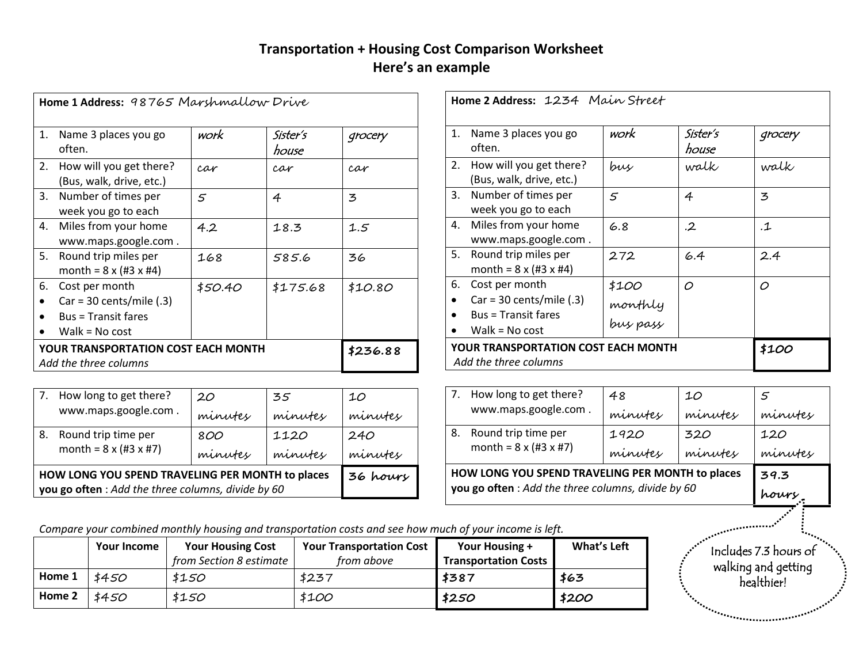## **Transportation + Housing Cost Comparison Worksheet Here's an example**

| Home 1 Address: 98765 Marshmallow Drive                                                                                                |                                                                     |          |                   |         |  |  |
|----------------------------------------------------------------------------------------------------------------------------------------|---------------------------------------------------------------------|----------|-------------------|---------|--|--|
| 1.                                                                                                                                     | Name 3 places you go<br>often.                                      | work     | Sister's<br>house | grocery |  |  |
| 2.                                                                                                                                     | How will you get there?<br>(Bus, walk, drive, etc.)                 | car      | car               | car     |  |  |
| 3.                                                                                                                                     | Number of times per<br>week you go to each                          | 5        | 4                 | 3       |  |  |
|                                                                                                                                        | 4. Miles from your home<br>www.maps.google.com.                     | 4.2      | 18.3              | 1.5     |  |  |
| 5.                                                                                                                                     | Round trip miles per<br>month = $8 \times (#3 \times #4)$           | 168      | 585.6             | 36      |  |  |
| 6.<br>Cost per month<br>\$50.40<br>\$175.68<br>\$10.80<br>$Car = 30 cents/mile (.3)$<br><b>Bus = Transit fares</b><br>Walk = $No cost$ |                                                                     |          |                   |         |  |  |
|                                                                                                                                        | <b>YOUR TRANSPORTATION COST EACH MONTH</b><br>Add the three columns | \$236.88 |                   |         |  |  |

|                                                  | 7. How long to get there?                                | 20      | 35      | 10      |
|--------------------------------------------------|----------------------------------------------------------|---------|---------|---------|
| www.maps.google.com.                             | minutes                                                  | minutes | minutes |         |
| 8.                                               | Round trip time per<br>month = $8 \times (43 \times 47)$ | 800     | 1120    | 240     |
|                                                  |                                                          | minutes | minutes | minutes |
| HOW LONG YOU SPEND TRAVELING PER MONTH to places | 36 hours                                                 |         |         |         |
|                                                  | you go often : Add the three columns, divide by 60       |         |         |         |

| Home 2 Address: 1234 Main Street                                    |                     |                   |                    |  |  |  |
|---------------------------------------------------------------------|---------------------|-------------------|--------------------|--|--|--|
| Name 3 places you go<br>1.<br>often.                                | work                | Sister's<br>house | grocery            |  |  |  |
| How will you get there?<br>2.<br>(Bus, walk, drive, etc.)           | bus                 | walk              | walk               |  |  |  |
| 3. Number of times per<br>week you go to each                       | 5                   | 4                 | 3                  |  |  |  |
| Miles from your home<br>4.<br>www.maps.google.com.                  | 6.8                 | $\cdot$ 2         | $\cdot\mathcal{I}$ |  |  |  |
| Round trip miles per<br>5.<br>month = $8 \times (43 \times 44)$     | 272                 | 6.4               | 2.4                |  |  |  |
| Cost per month<br>6.                                                | \$100               | $\circ$           | O                  |  |  |  |
| $Car = 30 cents/mile (.3)$                                          |                     |                   |                    |  |  |  |
| <b>Bus = Transit fares</b><br>Walk = $No cost$                      | monthly<br>bus pass |                   |                    |  |  |  |
| <b>YOUR TRANSPORTATION COST EACH MONTH</b><br>Add the three columns | \$100               |                   |                    |  |  |  |

|    | HOW LONG YOU SPEND TRAVELING PER MONTH to places<br>you go often : Add the three columns, divide by 60 | 39.3<br>pours |         |         |
|----|--------------------------------------------------------------------------------------------------------|---------------|---------|---------|
| 8. | Round trip time per                                                                                    | 1920          | 320     | 120     |
|    | month = $8 \times (43 \times 47)$                                                                      | minutes       | minutes | minutes |
| 7. | How long to get there?                                                                                 | 48            | 10      | 5       |
|    | www.maps.google.com.                                                                                   | minutes       | minutes | minutes |

*Compare your combined monthly housing and transportation costs and see how much of your income is left.*

|        | <b>Your Income</b> | <b>Your Housing Cost</b> | <b>Your Transportation Cost</b> | Your Housing +              | What's Left |
|--------|--------------------|--------------------------|---------------------------------|-----------------------------|-------------|
|        |                    | from Section 8 estimate  | from above                      | <b>Transportation Costs</b> |             |
| Home 1 | \$450              | \$150                    | \$237                           | \$387                       | \$63        |
| Home 2 | \$450              | \$150                    | \$100                           | \$250                       | \$200       |

Includes 7.3 hours of walking and getting healthier!